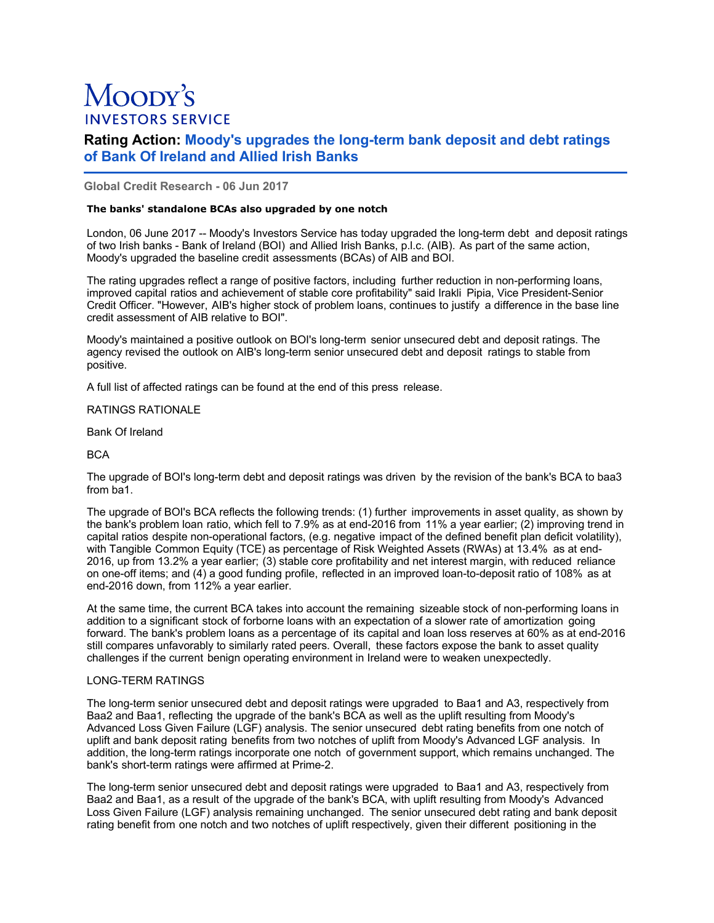# Moopy's **INVESTORS SERVICE**

# **Rating Action: Moody's upgrades the long-term bank deposit and debt ratings of Bank Of Ireland and Allied Irish Banks**

**Global Credit Research - 06 Jun 2017**

# **The banks' standalone BCAs also upgraded by one notch**

London, 06 June 2017 -- Moody's Investors Service has today upgraded the long-term debt and deposit ratings of two Irish banks - Bank of Ireland (BOI) and Allied Irish Banks, p.l.c. (AIB). As part of the same action, Moody's upgraded the baseline credit assessments (BCAs) of AIB and BOI.

The rating upgrades reflect a range of positive factors, including further reduction in non-performing loans, improved capital ratios and achievement of stable core profitability" said Irakli Pipia, Vice President-Senior Credit Officer. "However, AIB's higher stock of problem loans, continues to justify a difference in the base line credit assessment of AIB relative to BOI".

Moody's maintained a positive outlook on BOI's long-term senior unsecured debt and deposit ratings. The agency revised the outlook on AIB's long-term senior unsecured debt and deposit ratings to stable from positive.

A full list of affected ratings can be found at the end of this press release.

# RATINGS RATIONALE

Bank Of Ireland

# BCA

The upgrade of BOI's long-term debt and deposit ratings was driven by the revision of the bank's BCA to baa3 from ba1.

The upgrade of BOI's BCA reflects the following trends: (1) further improvements in asset quality, as shown by the bank's problem loan ratio, which fell to 7.9% as at end-2016 from 11% a year earlier; (2) improving trend in capital ratios despite non-operational factors, (e.g. negative impact of the defined benefit plan deficit volatility), with Tangible Common Equity (TCE) as percentage of Risk Weighted Assets (RWAs) at 13.4% as at end-2016, up from 13.2% a year earlier; (3) stable core profitability and net interest margin, with reduced reliance on one-off items; and (4) a good funding profile, reflected in an improved loan-to-deposit ratio of 108% as at end-2016 down, from 112% a year earlier.

At the same time, the current BCA takes into account the remaining sizeable stock of non-performing loans in addition to a significant stock of forborne loans with an expectation of a slower rate of amortization going forward. The bank's problem loans as a percentage of its capital and loan loss reserves at 60% as at end-2016 still compares unfavorably to similarly rated peers. Overall, these factors expose the bank to asset quality challenges if the current benign operating environment in Ireland were to weaken unexpectedly.

# LONG-TERM RATINGS

The long-term senior unsecured debt and deposit ratings were upgraded to Baa1 and A3, respectively from Baa2 and Baa1, reflecting the upgrade of the bank's BCA as well as the uplift resulting from Moody's Advanced Loss Given Failure (LGF) analysis. The senior unsecured debt rating benefits from one notch of uplift and bank deposit rating benefits from two notches of uplift from Moody's Advanced LGF analysis. In addition, the long-term ratings incorporate one notch of government support, which remains unchanged. The bank's short-term ratings were affirmed at Prime-2.

The long-term senior unsecured debt and deposit ratings were upgraded to Baa1 and A3, respectively from Baa2 and Baa1, as a result of the upgrade of the bank's BCA, with uplift resulting from Moody's Advanced Loss Given Failure (LGF) analysis remaining unchanged. The senior unsecured debt rating and bank deposit rating benefit from one notch and two notches of uplift respectively, given their different positioning in the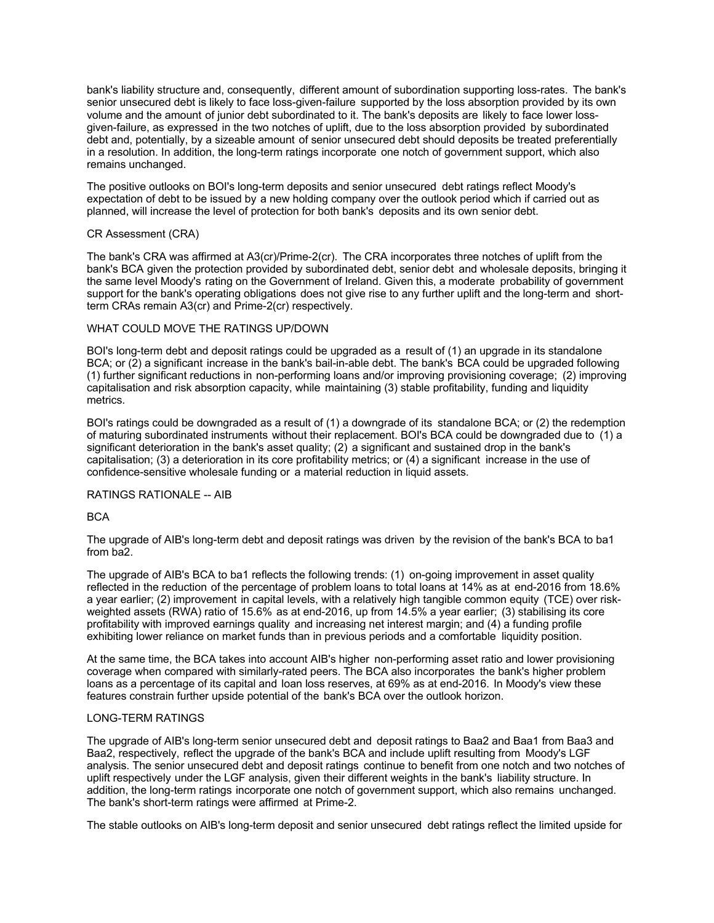bank's liability structure and, consequently, different amount of subordination supporting loss-rates. The bank's senior unsecured debt is likely to face loss-given-failure supported by the loss absorption provided by its own volume and the amount of junior debt subordinated to it. The bank's deposits are likely to face lower lossgiven-failure, as expressed in the two notches of uplift, due to the loss absorption provided by subordinated debt and, potentially, by a sizeable amount of senior unsecured debt should deposits be treated preferentially in a resolution. In addition, the long-term ratings incorporate one notch of government support, which also remains unchanged.

The positive outlooks on BOI's long-term deposits and senior unsecured debt ratings reflect Moody's expectation of debt to be issued by a new holding company over the outlook period which if carried out as planned, will increase the level of protection for both bank's deposits and its own senior debt.

# CR Assessment (CRA)

The bank's CRA was affirmed at A3(cr)/Prime-2(cr). The CRA incorporates three notches of uplift from the bank's BCA given the protection provided by subordinated debt, senior debt and wholesale deposits, bringing it the same level Moody's rating on the Government of Ireland. Given this, a moderate probability of government support for the bank's operating obligations does not give rise to any further uplift and the long-term and shortterm CRAs remain A3(cr) and Prime-2(cr) respectively.

#### WHAT COULD MOVE THE RATINGS UP/DOWN

BOI's long-term debt and deposit ratings could be upgraded as a result of (1) an upgrade in its standalone BCA; or (2) a significant increase in the bank's bail-in-able debt. The bank's BCA could be upgraded following (1) further significant reductions in non-performing loans and/or improving provisioning coverage; (2) improving capitalisation and risk absorption capacity, while maintaining (3) stable profitability, funding and liquidity metrics.

BOI's ratings could be downgraded as a result of (1) a downgrade of its standalone BCA; or (2) the redemption of maturing subordinated instruments without their replacement. BOI's BCA could be downgraded due to (1) a significant deterioration in the bank's asset quality; (2) a significant and sustained drop in the bank's capitalisation; (3) a deterioration in its core profitability metrics; or (4) a significant increase in the use of confidence-sensitive wholesale funding or a material reduction in liquid assets.

#### RATINGS RATIONALE -- AIB

# **BCA**

The upgrade of AIB's long-term debt and deposit ratings was driven by the revision of the bank's BCA to ba1 from ba2.

The upgrade of AIB's BCA to ba1 reflects the following trends: (1) on-going improvement in asset quality reflected in the reduction of the percentage of problem loans to total loans at 14% as at end-2016 from 18.6% a year earlier; (2) improvement in capital levels, with a relatively high tangible common equity (TCE) over riskweighted assets (RWA) ratio of 15.6% as at end-2016, up from 14.5% a year earlier; (3) stabilising its core profitability with improved earnings quality and increasing net interest margin; and (4) a funding profile exhibiting lower reliance on market funds than in previous periods and a comfortable liquidity position.

At the same time, the BCA takes into account AIB's higher non-performing asset ratio and lower provisioning coverage when compared with similarly-rated peers. The BCA also incorporates the bank's higher problem loans as a percentage of its capital and loan loss reserves, at 69% as at end-2016. In Moody's view these features constrain further upside potential of the bank's BCA over the outlook horizon.

# LONG-TERM RATINGS

The upgrade of AIB's long-term senior unsecured debt and deposit ratings to Baa2 and Baa1 from Baa3 and Baa2, respectively, reflect the upgrade of the bank's BCA and include uplift resulting from Moody's LGF analysis. The senior unsecured debt and deposit ratings continue to benefit from one notch and two notches of uplift respectively under the LGF analysis, given their different weights in the bank's liability structure. In addition, the long-term ratings incorporate one notch of government support, which also remains unchanged. The bank's short-term ratings were affirmed at Prime-2.

The stable outlooks on AIB's long-term deposit and senior unsecured debt ratings reflect the limited upside for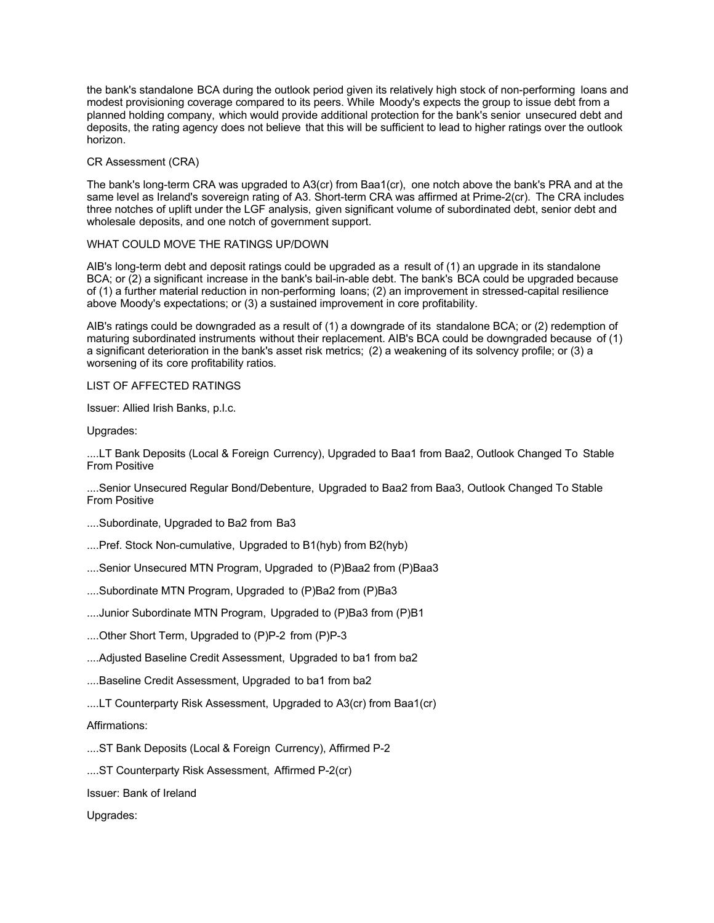the bank's standalone BCA during the outlook period given its relatively high stock of non-performing loans and modest provisioning coverage compared to its peers. While Moody's expects the group to issue debt from a planned holding company, which would provide additional protection for the bank's senior unsecured debt and deposits, the rating agency does not believe that this will be sufficient to lead to higher ratings over the outlook horizon.

#### CR Assessment (CRA)

The bank's long-term CRA was upgraded to A3(cr) from Baa1(cr), one notch above the bank's PRA and at the same level as Ireland's sovereign rating of A3. Short-term CRA was affirmed at Prime-2(cr). The CRA includes three notches of uplift under the LGF analysis, given significant volume of subordinated debt, senior debt and wholesale deposits, and one notch of government support.

# WHAT COULD MOVE THE RATINGS UP/DOWN

AIB's long-term debt and deposit ratings could be upgraded as a result of (1) an upgrade in its standalone BCA; or (2) a significant increase in the bank's bail-in-able debt. The bank's BCA could be upgraded because of (1) a further material reduction in non-performing loans; (2) an improvement in stressed-capital resilience above Moody's expectations; or (3) a sustained improvement in core profitability.

AIB's ratings could be downgraded as a result of (1) a downgrade of its standalone BCA; or (2) redemption of maturing subordinated instruments without their replacement. AIB's BCA could be downgraded because of (1) a significant deterioration in the bank's asset risk metrics; (2) a weakening of its solvency profile; or (3) a worsening of its core profitability ratios.

# LIST OF AFFECTED RATINGS

Issuer: Allied Irish Banks, p.l.c.

Upgrades:

....LT Bank Deposits (Local & Foreign Currency), Upgraded to Baa1 from Baa2, Outlook Changed To Stable From Positive

....Senior Unsecured Regular Bond/Debenture, Upgraded to Baa2 from Baa3, Outlook Changed To Stable From Positive

- ....Subordinate, Upgraded to Ba2 from Ba3
- ....Pref. Stock Non-cumulative, Upgraded to B1(hyb) from B2(hyb)
- ....Senior Unsecured MTN Program, Upgraded to (P)Baa2 from (P)Baa3
- ....Subordinate MTN Program, Upgraded to (P)Ba2 from (P)Ba3
- ....Junior Subordinate MTN Program, Upgraded to (P)Ba3 from (P)B1
- ....Other Short Term, Upgraded to (P)P-2 from (P)P-3
- ....Adjusted Baseline Credit Assessment, Upgraded to ba1 from ba2
- ....Baseline Credit Assessment, Upgraded to ba1 from ba2
- ....LT Counterparty Risk Assessment, Upgraded to A3(cr) from Baa1(cr)

#### Affirmations:

- ....ST Bank Deposits (Local & Foreign Currency), Affirmed P-2
- ....ST Counterparty Risk Assessment, Affirmed P-2(cr)

Issuer: Bank of Ireland

Upgrades: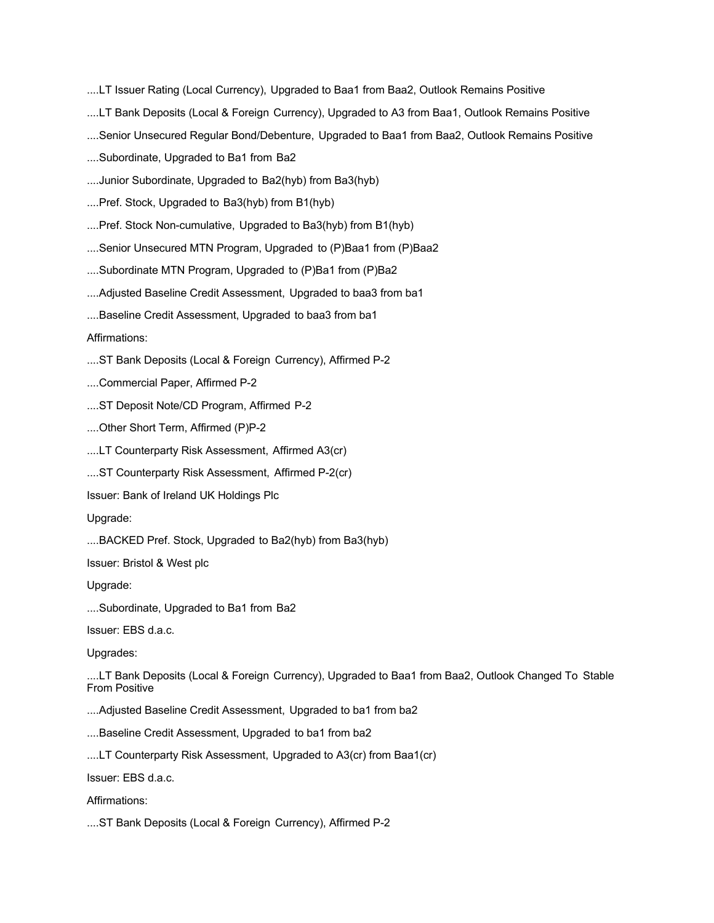- ....LT Issuer Rating (Local Currency), Upgraded to Baa1 from Baa2, Outlook Remains Positive
- ....LT Bank Deposits (Local & Foreign Currency), Upgraded to A3 from Baa1, Outlook Remains Positive
- ....Senior Unsecured Regular Bond/Debenture, Upgraded to Baa1 from Baa2, Outlook Remains Positive
- ....Subordinate, Upgraded to Ba1 from Ba2
- ....Junior Subordinate, Upgraded to Ba2(hyb) from Ba3(hyb)
- ....Pref. Stock, Upgraded to Ba3(hyb) from B1(hyb)
- ....Pref. Stock Non-cumulative, Upgraded to Ba3(hyb) from B1(hyb)
- ....Senior Unsecured MTN Program, Upgraded to (P)Baa1 from (P)Baa2
- ....Subordinate MTN Program, Upgraded to (P)Ba1 from (P)Ba2
- ....Adjusted Baseline Credit Assessment, Upgraded to baa3 from ba1
- ....Baseline Credit Assessment, Upgraded to baa3 from ba1

#### Affirmations:

- ....ST Bank Deposits (Local & Foreign Currency), Affirmed P-2
- ....Commercial Paper, Affirmed P-2
- ....ST Deposit Note/CD Program, Affirmed P-2
- ....Other Short Term, Affirmed (P)P-2
- ....LT Counterparty Risk Assessment, Affirmed A3(cr)
- ....ST Counterparty Risk Assessment, Affirmed P-2(cr)

Issuer: Bank of Ireland UK Holdings Plc

- Upgrade:
- ....BACKED Pref. Stock, Upgraded to Ba2(hyb) from Ba3(hyb)

Issuer: Bristol & West plc

Upgrade:

....Subordinate, Upgraded to Ba1 from Ba2

Issuer: EBS d.a.c.

Upgrades:

....LT Bank Deposits (Local & Foreign Currency), Upgraded to Baa1 from Baa2, Outlook Changed To Stable From Positive

....Adjusted Baseline Credit Assessment, Upgraded to ba1 from ba2

....Baseline Credit Assessment, Upgraded to ba1 from ba2

....LT Counterparty Risk Assessment, Upgraded to A3(cr) from Baa1(cr)

Issuer: EBS d.a.c.

Affirmations:

....ST Bank Deposits (Local & Foreign Currency), Affirmed P-2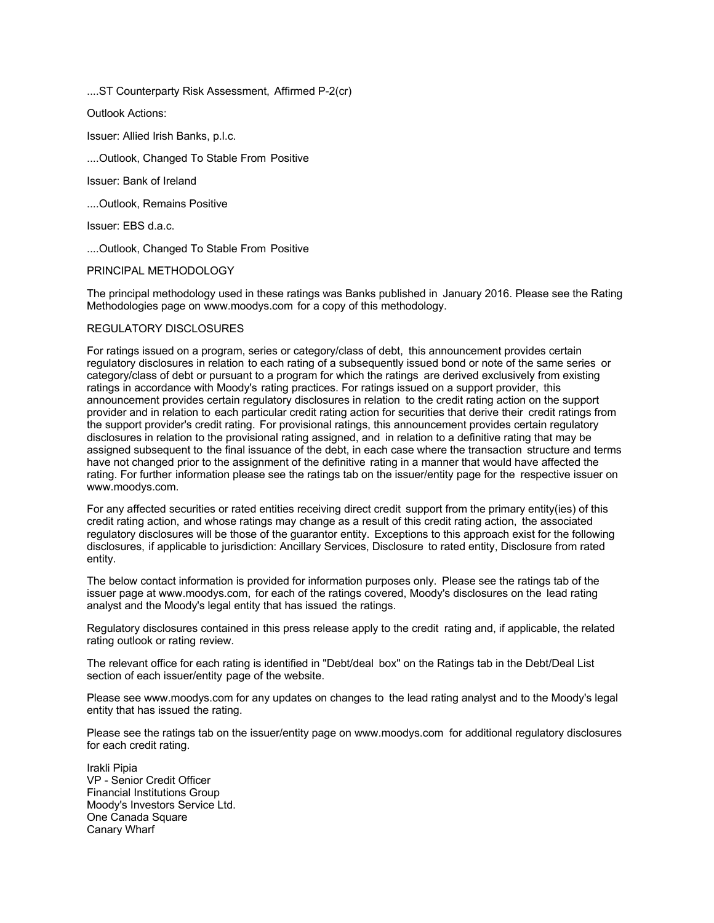....ST Counterparty Risk Assessment, Affirmed P-2(cr)

Outlook Actions:

Issuer: Allied Irish Banks, p.l.c.

....Outlook, Changed To Stable From Positive

Issuer: Bank of Ireland

....Outlook, Remains Positive

Issuer: EBS d.a.c.

....Outlook, Changed To Stable From Positive

#### PRINCIPAL METHODOLOGY

The principal methodology used in these ratings was Banks published in January 2016. Please see the Rating Methodologies page on www.moodys.com for a copy of this methodology.

#### REGULATORY DISCLOSURES

For ratings issued on a program, series or category/class of debt, this announcement provides certain regulatory disclosures in relation to each rating of a subsequently issued bond or note of the same series or category/class of debt or pursuant to a program for which the ratings are derived exclusively from existing ratings in accordance with Moody's rating practices. For ratings issued on a support provider, this announcement provides certain regulatory disclosures in relation to the credit rating action on the support provider and in relation to each particular credit rating action for securities that derive their credit ratings from the support provider's credit rating. For provisional ratings, this announcement provides certain regulatory disclosures in relation to the provisional rating assigned, and in relation to a definitive rating that may be assigned subsequent to the final issuance of the debt, in each case where the transaction structure and terms have not changed prior to the assignment of the definitive rating in a manner that would have affected the rating. For further information please see the ratings tab on the issuer/entity page for the respective issuer on www.moodys.com.

For any affected securities or rated entities receiving direct credit support from the primary entity(ies) of this credit rating action, and whose ratings may change as a result of this credit rating action, the associated regulatory disclosures will be those of the guarantor entity. Exceptions to this approach exist for the following disclosures, if applicable to jurisdiction: Ancillary Services, Disclosure to rated entity, Disclosure from rated entity.

The below contact information is provided for information purposes only. Please see the ratings tab of the issuer page at www.moodys.com, for each of the ratings covered, Moody's disclosures on the lead rating analyst and the Moody's legal entity that has issued the ratings.

Regulatory disclosures contained in this press release apply to the credit rating and, if applicable, the related rating outlook or rating review.

The relevant office for each rating is identified in "Debt/deal box" on the Ratings tab in the Debt/Deal List section of each issuer/entity page of the website.

Please see www.moodys.com for any updates on changes to the lead rating analyst and to the Moody's legal entity that has issued the rating.

Please see the ratings tab on the issuer/entity page on www.moodys.com for additional regulatory disclosures for each credit rating.

Irakli Pipia VP - Senior Credit Officer Financial Institutions Group Moody's Investors Service Ltd. One Canada Square Canary Wharf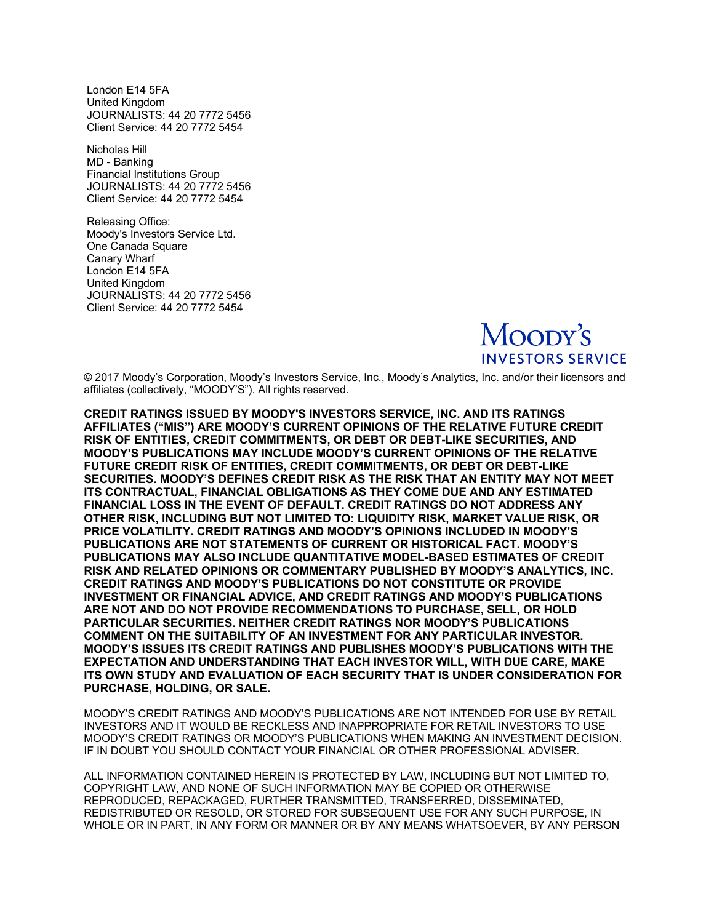London E14 5FA United Kingdom JOURNALISTS: 44 20 7772 5456 Client Service: 44 20 7772 5454

Nicholas Hill MD - Banking Financial Institutions Group JOURNALISTS: 44 20 7772 5456 Client Service: 44 20 7772 5454

Releasing Office: Moody's Investors Service Ltd. One Canada Square Canary Wharf London E14 5FA United Kingdom JOURNALISTS: 44 20 7772 5456 Client Service: 44 20 7772 5454



© 2017 Moody's Corporation, Moody's Investors Service, Inc., Moody's Analytics, Inc. and/or their licensors and affiliates (collectively, "MOODY'S"). All rights reserved.

**CREDIT RATINGS ISSUED BY MOODY'S INVESTORS SERVICE, INC. AND ITS RATINGS AFFILIATES ("MIS") ARE MOODY'S CURRENT OPINIONS OF THE RELATIVE FUTURE CREDIT RISK OF ENTITIES, CREDIT COMMITMENTS, OR DEBT OR DEBT-LIKE SECURITIES, AND MOODY'S PUBLICATIONS MAY INCLUDE MOODY'S CURRENT OPINIONS OF THE RELATIVE FUTURE CREDIT RISK OF ENTITIES, CREDIT COMMITMENTS, OR DEBT OR DEBT-LIKE SECURITIES. MOODY'S DEFINES CREDIT RISK AS THE RISK THAT AN ENTITY MAY NOT MEET ITS CONTRACTUAL, FINANCIAL OBLIGATIONS AS THEY COME DUE AND ANY ESTIMATED FINANCIAL LOSS IN THE EVENT OF DEFAULT. CREDIT RATINGS DO NOT ADDRESS ANY OTHER RISK, INCLUDING BUT NOT LIMITED TO: LIQUIDITY RISK, MARKET VALUE RISK, OR PRICE VOLATILITY. CREDIT RATINGS AND MOODY'S OPINIONS INCLUDED IN MOODY'S PUBLICATIONS ARE NOT STATEMENTS OF CURRENT OR HISTORICAL FACT. MOODY'S PUBLICATIONS MAY ALSO INCLUDE QUANTITATIVE MODEL-BASED ESTIMATES OF CREDIT RISK AND RELATED OPINIONS OR COMMENTARY PUBLISHED BY MOODY'S ANALYTICS, INC. CREDIT RATINGS AND MOODY'S PUBLICATIONS DO NOT CONSTITUTE OR PROVIDE INVESTMENT OR FINANCIAL ADVICE, AND CREDIT RATINGS AND MOODY'S PUBLICATIONS ARE NOT AND DO NOT PROVIDE RECOMMENDATIONS TO PURCHASE, SELL, OR HOLD PARTICULAR SECURITIES. NEITHER CREDIT RATINGS NOR MOODY'S PUBLICATIONS COMMENT ON THE SUITABILITY OF AN INVESTMENT FOR ANY PARTICULAR INVESTOR. MOODY'S ISSUES ITS CREDIT RATINGS AND PUBLISHES MOODY'S PUBLICATIONS WITH THE EXPECTATION AND UNDERSTANDING THAT EACH INVESTOR WILL, WITH DUE CARE, MAKE ITS OWN STUDY AND EVALUATION OF EACH SECURITY THAT IS UNDER CONSIDERATION FOR PURCHASE, HOLDING, OR SALE.**

MOODY'S CREDIT RATINGS AND MOODY'S PUBLICATIONS ARE NOT INTENDED FOR USE BY RETAIL INVESTORS AND IT WOULD BE RECKLESS AND INAPPROPRIATE FOR RETAIL INVESTORS TO USE MOODY'S CREDIT RATINGS OR MOODY'S PUBLICATIONS WHEN MAKING AN INVESTMENT DECISION. IF IN DOUBT YOU SHOULD CONTACT YOUR FINANCIAL OR OTHER PROFESSIONAL ADVISER.

ALL INFORMATION CONTAINED HEREIN IS PROTECTED BY LAW, INCLUDING BUT NOT LIMITED TO, COPYRIGHT LAW, AND NONE OF SUCH INFORMATION MAY BE COPIED OR OTHERWISE REPRODUCED, REPACKAGED, FURTHER TRANSMITTED, TRANSFERRED, DISSEMINATED, REDISTRIBUTED OR RESOLD, OR STORED FOR SUBSEQUENT USE FOR ANY SUCH PURPOSE, IN WHOLE OR IN PART, IN ANY FORM OR MANNER OR BY ANY MEANS WHATSOEVER, BY ANY PERSON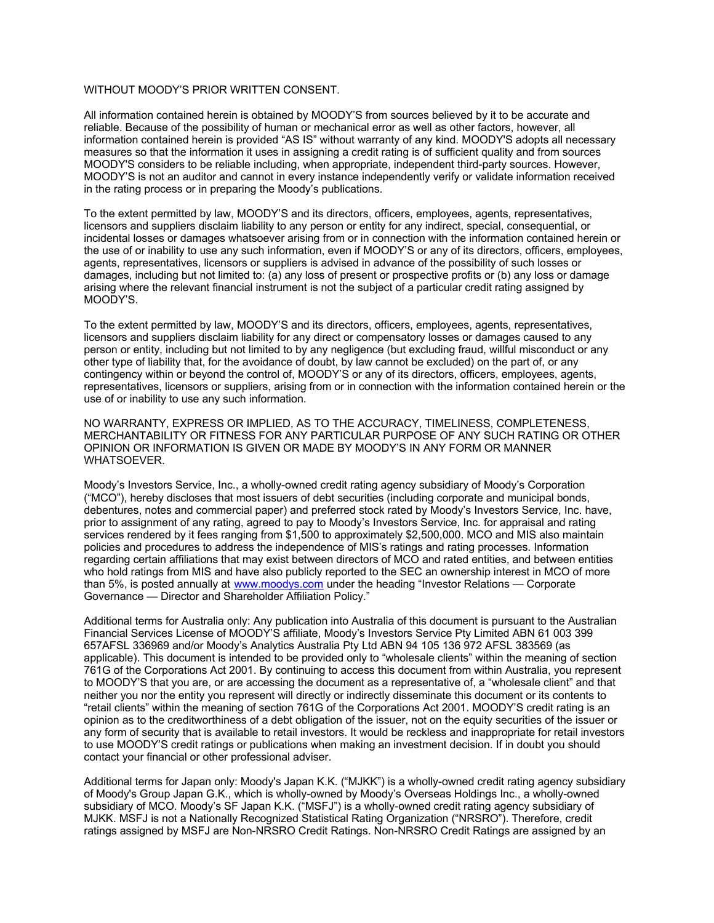#### WITHOUT MOODY'S PRIOR WRITTEN CONSENT.

All information contained herein is obtained by MOODY'S from sources believed by it to be accurate and reliable. Because of the possibility of human or mechanical error as well as other factors, however, all information contained herein is provided "AS IS" without warranty of any kind. MOODY'S adopts all necessary measures so that the information it uses in assigning a credit rating is of sufficient quality and from sources MOODY'S considers to be reliable including, when appropriate, independent third-party sources. However, MOODY'S is not an auditor and cannot in every instance independently verify or validate information received in the rating process or in preparing the Moody's publications.

To the extent permitted by law, MOODY'S and its directors, officers, employees, agents, representatives, licensors and suppliers disclaim liability to any person or entity for any indirect, special, consequential, or incidental losses or damages whatsoever arising from or in connection with the information contained herein or the use of or inability to use any such information, even if MOODY'S or any of its directors, officers, employees, agents, representatives, licensors or suppliers is advised in advance of the possibility of such losses or damages, including but not limited to: (a) any loss of present or prospective profits or (b) any loss or damage arising where the relevant financial instrument is not the subject of a particular credit rating assigned by MOODY'S.

To the extent permitted by law, MOODY'S and its directors, officers, employees, agents, representatives, licensors and suppliers disclaim liability for any direct or compensatory losses or damages caused to any person or entity, including but not limited to by any negligence (but excluding fraud, willful misconduct or any other type of liability that, for the avoidance of doubt, by law cannot be excluded) on the part of, or any contingency within or beyond the control of, MOODY'S or any of its directors, officers, employees, agents, representatives, licensors or suppliers, arising from or in connection with the information contained herein or the use of or inability to use any such information.

NO WARRANTY, EXPRESS OR IMPLIED, AS TO THE ACCURACY, TIMELINESS, COMPLETENESS, MERCHANTABILITY OR FITNESS FOR ANY PARTICULAR PURPOSE OF ANY SUCH RATING OR OTHER OPINION OR INFORMATION IS GIVEN OR MADE BY MOODY'S IN ANY FORM OR MANNER WHATSOEVER.

Moody's Investors Service, Inc., a wholly-owned credit rating agency subsidiary of Moody's Corporation ("MCO"), hereby discloses that most issuers of debt securities (including corporate and municipal bonds, debentures, notes and commercial paper) and preferred stock rated by Moody's Investors Service, Inc. have, prior to assignment of any rating, agreed to pay to Moody's Investors Service, Inc. for appraisal and rating services rendered by it fees ranging from \$1,500 to approximately \$2,500,000. MCO and MIS also maintain policies and procedures to address the independence of MIS's ratings and rating processes. Information regarding certain affiliations that may exist between directors of MCO and rated entities, and between entities who hold ratings from MIS and have also publicly reported to the SEC an ownership interest in MCO of more than 5%, is posted annually at [www.moodys.com](https://www.moodys.com/) under the heading "Investor Relations — Corporate Governance — Director and Shareholder Affiliation Policy."

Additional terms for Australia only: Any publication into Australia of this document is pursuant to the Australian Financial Services License of MOODY'S affiliate, Moody's Investors Service Pty Limited ABN 61 003 399 657AFSL 336969 and/or Moody's Analytics Australia Pty Ltd ABN 94 105 136 972 AFSL 383569 (as applicable). This document is intended to be provided only to "wholesale clients" within the meaning of section 761G of the Corporations Act 2001. By continuing to access this document from within Australia, you represent to MOODY'S that you are, or are accessing the document as a representative of, a "wholesale client" and that neither you nor the entity you represent will directly or indirectly disseminate this document or its contents to "retail clients" within the meaning of section 761G of the Corporations Act 2001. MOODY'S credit rating is an opinion as to the creditworthiness of a debt obligation of the issuer, not on the equity securities of the issuer or any form of security that is available to retail investors. It would be reckless and inappropriate for retail investors to use MOODY'S credit ratings or publications when making an investment decision. If in doubt you should contact your financial or other professional adviser.

Additional terms for Japan only: Moody's Japan K.K. ("MJKK") is a wholly-owned credit rating agency subsidiary of Moody's Group Japan G.K., which is wholly-owned by Moody's Overseas Holdings Inc., a wholly-owned subsidiary of MCO. Moody's SF Japan K.K. ("MSFJ") is a wholly-owned credit rating agency subsidiary of MJKK. MSFJ is not a Nationally Recognized Statistical Rating Organization ("NRSRO"). Therefore, credit ratings assigned by MSFJ are Non-NRSRO Credit Ratings. Non-NRSRO Credit Ratings are assigned by an